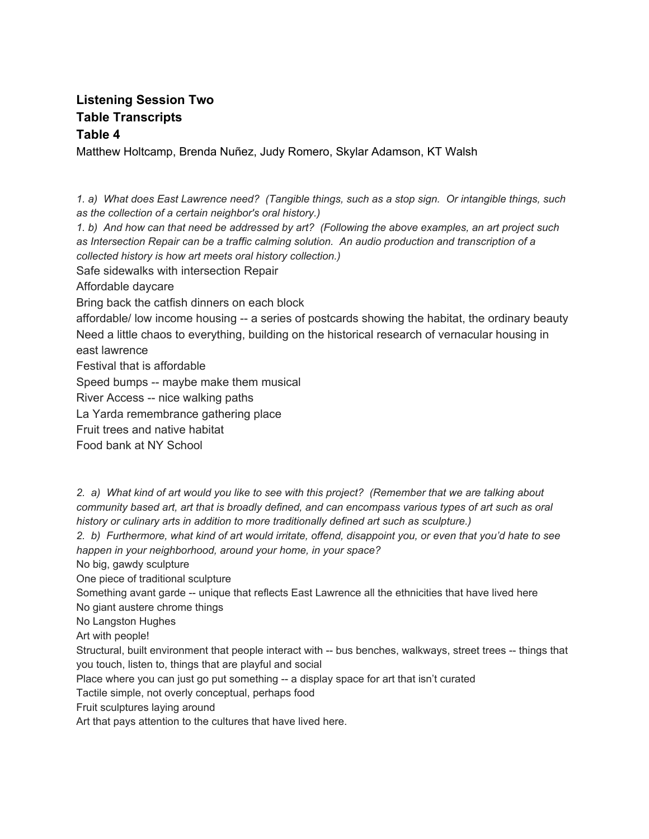## **Listening Session Two Table Transcripts Table 4**

Matthew Holtcamp, Brenda Nuñez, Judy Romero, Skylar Adamson, KT Walsh

1. a) What does East Lawrence need? (Tangible things, such as a stop sign. Or intangible things, such *as the collection of a certain neighbor's oral history.)*

1. b) And how can that need be addressed by art? (Following the above examples, an art project such *as Intersection Repair can be a traffic calming solution. An audio production and transcription of a collected history is how art meets oral history collection.)*

Safe sidewalks with intersection Repair

Affordable daycare

Bring back the catfish dinners on each block

affordable/ low income housing -- a series of postcards showing the habitat, the ordinary beauty Need a little chaos to everything, building on the historical research of vernacular housing in east lawrence

Festival that is affordable

Speed bumps -- maybe make them musical

River Access -- nice walking paths

La Yarda remembrance gathering place

Fruit trees and native habitat

Food bank at NY School

2. a) What kind of art would you like to see with this project? (Remember that we are talking about community based art, art that is broadly defined, and can encompass various types of art such as oral *history or culinary arts in addition to more traditionally defined art such as sculpture.)*

2. b) Furthermore, what kind of art would irritate, offend, disappoint you, or even that you'd hate to see *happen in your neighborhood, around your home, in your space?*

No big, gawdy sculpture

One piece of traditional sculpture

Something avant garde -- unique that reflects East Lawrence all the ethnicities that have lived here No giant austere chrome things

No Langston Hughes

Art with people!

Structural, built environment that people interact with -- bus benches, walkways, street trees -- things that you touch, listen to, things that are playful and social

Place where you can just go put something -- a display space for art that isn't curated

Tactile simple, not overly conceptual, perhaps food

Fruit sculptures laying around

Art that pays attention to the cultures that have lived here.